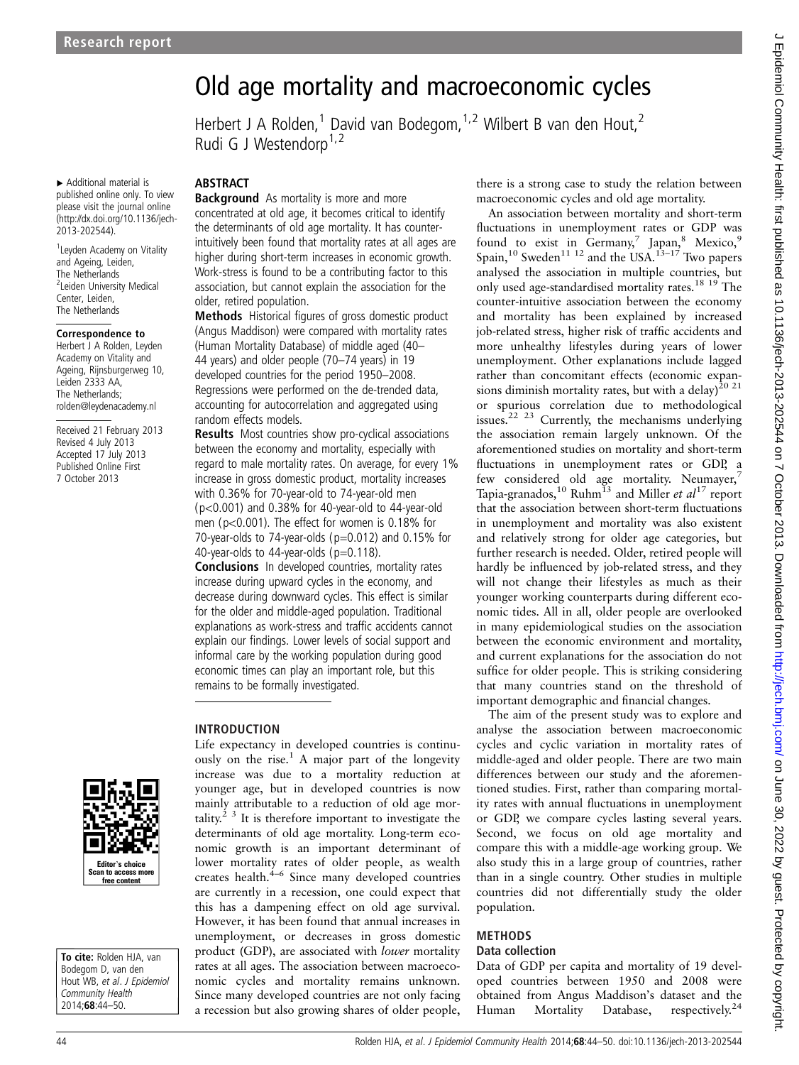▸ Additional material is published online only. To view please visit the journal online [\(http://dx.doi.org/10.1136/jech-](http://dx.doi.org/10.1136/jech-2013-202544)[2013-202544\)](http://dx.doi.org/10.1136/jech-2013-202544).

<sup>1</sup> Leyden Academy on Vitality and Ageing, Leiden, The Netherlands <sup>2</sup>Leiden University Medical Center, Leiden, The Netherlands

#### Correspondence to

Herbert J A Rolden, Leyden Academy on Vitality and Ageing, Rijnsburgerweg 10, Leiden 2333 AA, The Netherlands; rolden@leydenacademy.nl

Received 21 February 2013 Revised 4 July 2013 Accepted 17 July 2013 Published Online First 7 October 2013

# Editor's choice Scan to access more free content

To cite: Rolden HJA, van Bodegom D, van den Hout WB, et al. J Epidemiol Community Health 2014;68:44–50.

### ABSTRACT

Rudi G J Westendorp<sup>1,2</sup>

**Background** As mortality is more and more concentrated at old age, it becomes critical to identify the determinants of old age mortality. It has counterintuitively been found that mortality rates at all ages are higher during short-term increases in economic growth. Work-stress is found to be a contributing factor to this association, but cannot explain the association for the older, retired population.

Old age mortality and macroeconomic cycles

Herbert J A Rolden,<sup>1</sup> David van Bodegom,<sup>1,2</sup> Wilbert B van den Hout,<sup>2</sup>

Methods Historical figures of gross domestic product (Angus Maddison) were compared with mortality rates (Human Mortality Database) of middle aged (40– 44 years) and older people (70–74 years) in 19 developed countries for the period 1950–2008. Regressions were performed on the de-trended data, accounting for autocorrelation and aggregated using random effects models.

Results Most countries show pro-cyclical associations between the economy and mortality, especially with regard to male mortality rates. On average, for every 1% increase in gross domestic product, mortality increases with 0.36% for 70-year-old to 74-year-old men (p<0.001) and 0.38% for 40-year-old to 44-year-old men (p<0.001). The effect for women is 0.18% for 70-year-olds to 74-year-olds ( $p=0.012$ ) and 0.15% for 40-year-olds to 44-year-olds (p=0.118).

Conclusions In developed countries, mortality rates increase during upward cycles in the economy, and decrease during downward cycles. This effect is similar for the older and middle-aged population. Traditional explanations as work-stress and traffic accidents cannot explain our findings. Lower levels of social support and informal care by the working population during good economic times can play an important role, but this remains to be formally investigated.

#### INTRODUCTION

Life expectancy in developed countries is continuously on the rise.<sup>1</sup> A major part of the longevity increase was due to a mortality reduction at younger age, but in developed countries is now mainly attributable to a reduction of old age mortality.<sup>2 3</sup> It is therefore important to investigate the determinants of old age mortality. Long-term economic growth is an important determinant of lower mortality rates of older people, as wealth creates health.4–<sup>6</sup> Since many developed countries are currently in a recession, one could expect that this has a dampening effect on old age survival. However, it has been found that annual increases in unemployment, or decreases in gross domestic product (GDP), are associated with lower mortality rates at all ages. The association between macroeconomic cycles and mortality remains unknown. Since many developed countries are not only facing a recession but also growing shares of older people,

there is a strong case to study the relation between macroeconomic cycles and old age mortality.

An association between mortality and short-term fluctuations in unemployment rates or GDP was found to exist in  $Germany$ <sup>7</sup> Japan,<sup>8</sup> Mexico,<sup>9</sup> Spain,<sup>10</sup> Sweden<sup>11 12</sup> and the USA.<sup>13-17</sup> Two papers analysed the association in multiple countries, but only used age-standardised mortality rates.<sup>18</sup> <sup>19</sup> The counter-intuitive association between the economy and mortality has been explained by increased job-related stress, higher risk of traffic accidents and more unhealthy lifestyles during years of lower unemployment. Other explanations include lagged rather than concomitant effects (economic expansions diminish mortality rates, but with a delay)<sup>20 21</sup> or spurious correlation due to methodological issues.<sup>22</sup> <sup>23</sup> Currently, the mechanisms underlying the association remain largely unknown. Of the aforementioned studies on mortality and short-term fluctuations in unemployment rates or GDP, a few considered old age mortality. Neumayer, $<sup>7</sup>$ </sup> Tapia-granados,<sup>10</sup> Ruhm<sup>13</sup> and Miller *et al*<sup>17</sup> report that the association between short-term fluctuations in unemployment and mortality was also existent and relatively strong for older age categories, but further research is needed. Older, retired people will hardly be influenced by job-related stress, and they will not change their lifestyles as much as their younger working counterparts during different economic tides. All in all, older people are overlooked in many epidemiological studies on the association between the economic environment and mortality, and current explanations for the association do not suffice for older people. This is striking considering that many countries stand on the threshold of important demographic and financial changes.

The aim of the present study was to explore and analyse the association between macroeconomic cycles and cyclic variation in mortality rates of middle-aged and older people. There are two main differences between our study and the aforementioned studies. First, rather than comparing mortality rates with annual fluctuations in unemployment or GDP, we compare cycles lasting several years. Second, we focus on old age mortality and compare this with a middle-age working group. We also study this in a large group of countries, rather than in a single country. Other studies in multiple countries did not differentially study the older population.

#### METHODS Data collection

Data of GDP per capita and mortality of 19 developed countries between 1950 and 2008 were obtained from Angus Maddison's dataset and the Human Mortality Database, respectively.<sup>24</sup>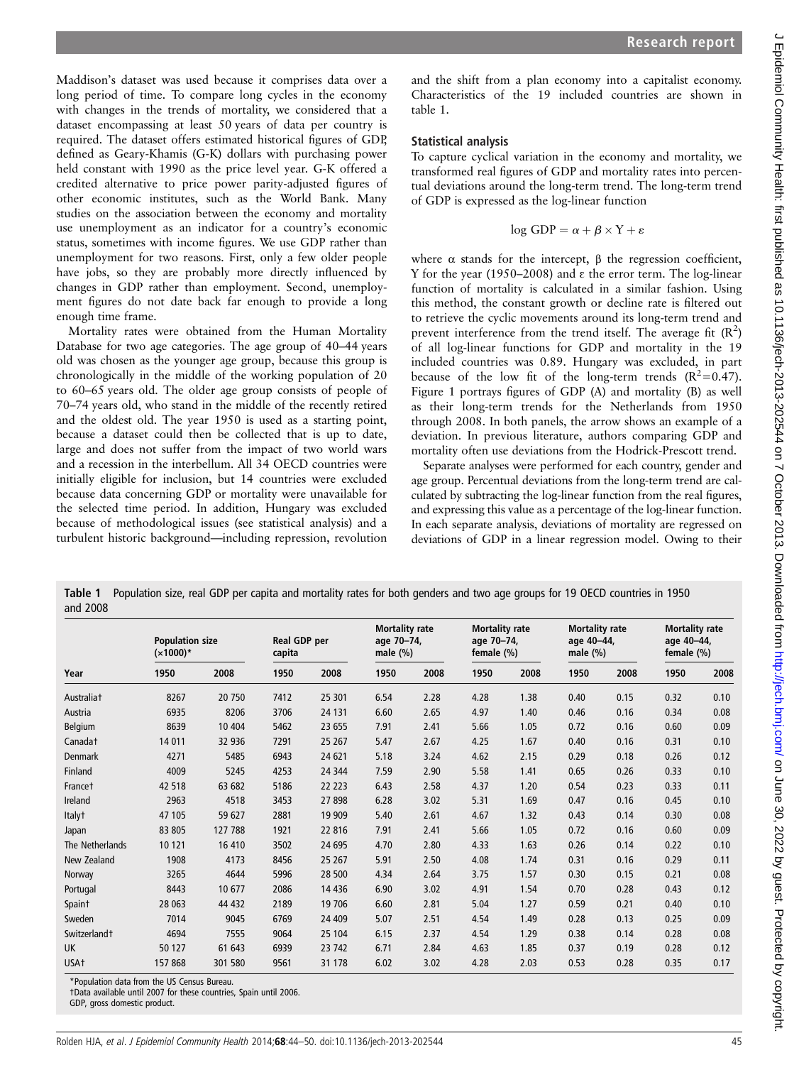Maddison's dataset was used because it comprises data over a long period of time. To compare long cycles in the economy with changes in the trends of mortality, we considered that a dataset encompassing at least 50 years of data per country is required. The dataset offers estimated historical figures of GDP, defined as Geary-Khamis (G-K) dollars with purchasing power held constant with 1990 as the price level year. G-K offered a credited alternative to price power parity-adjusted figures of other economic institutes, such as the World Bank. Many studies on the association between the economy and mortality use unemployment as an indicator for a country's economic status, sometimes with income figures. We use GDP rather than unemployment for two reasons. First, only a few older people have jobs, so they are probably more directly influenced by changes in GDP rather than employment. Second, unemployment figures do not date back far enough to provide a long enough time frame.

Mortality rates were obtained from the Human Mortality Database for two age categories. The age group of 40–44 years old was chosen as the younger age group, because this group is chronologically in the middle of the working population of 20 to 60–65 years old. The older age group consists of people of 70–74 years old, who stand in the middle of the recently retired and the oldest old. The year 1950 is used as a starting point, because a dataset could then be collected that is up to date, large and does not suffer from the impact of two world wars and a recession in the interbellum. All 34 OECD countries were initially eligible for inclusion, but 14 countries were excluded because data concerning GDP or mortality were unavailable for the selected time period. In addition, Hungary was excluded because of methodological issues (see statistical analysis) and a turbulent historic background—including repression, revolution

and the shift from a plan economy into a capitalist economy. Characteristics of the 19 included countries are shown in table 1.

## Statistical analysis

To capture cyclical variation in the economy and mortality, we transformed real figures of GDP and mortality rates into percentual deviations around the long-term trend. The long-term trend of GDP is expressed as the log-linear function

$$
\log GDP = \alpha + \beta \times Y + \varepsilon
$$

where  $\alpha$  stands for the intercept,  $\beta$  the regression coefficient, Y for the year (1950–2008) and  $\varepsilon$  the error term. The log-linear function of mortality is calculated in a similar fashion. Using this method, the constant growth or decline rate is filtered out to retrieve the cyclic movements around its long-term trend and prevent interference from the trend itself. The average fit  $(R^2)$ of all log-linear functions for GDP and mortality in the 19 included countries was 0.89. Hungary was excluded, in part because of the low fit of the long-term trends  $(R^2=0.47)$ . Figure 1 portrays figures of GDP (A) and mortality (B) as well as their long-term trends for the Netherlands from 1950 through 2008. In both panels, the arrow shows an example of a deviation. In previous literature, authors comparing GDP and mortality often use deviations from the Hodrick-Prescott trend.

Separate analyses were performed for each country, gender and age group. Percentual deviations from the long-term trend are calculated by subtracting the log-linear function from the real figures, and expressing this value as a percentage of the log-linear function. In each separate analysis, deviations of mortality are regressed on deviations of GDP in a linear regression model. Owing to their

Table 1 Population size, real GDP per capita and mortality rates for both genders and two age groups for 19 OECD countries in 1950 and 2008

| Year                     | <b>Population size</b><br>$(x1000)*$ |         | Real GDP per<br>capita |         | <b>Mortality rate</b><br>age 70-74,<br>male $(\%)$ |      | <b>Mortality rate</b><br>age 70-74,<br>female (%) |      | <b>Mortality rate</b><br>age 40-44,<br>male $(\%)$ |      | <b>Mortality rate</b><br>age 40-44,<br>female (%) |      |
|--------------------------|--------------------------------------|---------|------------------------|---------|----------------------------------------------------|------|---------------------------------------------------|------|----------------------------------------------------|------|---------------------------------------------------|------|
|                          | 1950                                 | 2008    | 1950                   | 2008    | 1950                                               | 2008 | 1950                                              | 2008 | 1950                                               | 2008 | 1950                                              | 2008 |
| Australiat               | 8267                                 | 20 750  | 7412                   | 25 301  | 6.54                                               | 2.28 | 4.28                                              | 1.38 | 0.40                                               | 0.15 | 0.32                                              | 0.10 |
| Austria                  | 6935                                 | 8206    | 3706                   | 24 131  | 6.60                                               | 2.65 | 4.97                                              | 1.40 | 0.46                                               | 0.16 | 0.34                                              | 0.08 |
| Belgium                  | 8639                                 | 10 404  | 5462                   | 23 655  | 7.91                                               | 2.41 | 5.66                                              | 1.05 | 0.72                                               | 0.16 | 0.60                                              | 0.09 |
| Canadat                  | 14 011                               | 32 936  | 7291                   | 25 267  | 5.47                                               | 2.67 | 4.25                                              | 1.67 | 0.40                                               | 0.16 | 0.31                                              | 0.10 |
| <b>Denmark</b>           | 4271                                 | 5485    | 6943                   | 24 621  | 5.18                                               | 3.24 | 4.62                                              | 2.15 | 0.29                                               | 0.18 | 0.26                                              | 0.12 |
| Finland                  | 4009                                 | 5245    | 4253                   | 24 344  | 7.59                                               | 2.90 | 5.58                                              | 1.41 | 0.65                                               | 0.26 | 0.33                                              | 0.10 |
| Francet                  | 42 518                               | 63 682  | 5186                   | 22 2 23 | 6.43                                               | 2.58 | 4.37                                              | 1.20 | 0.54                                               | 0.23 | 0.33                                              | 0.11 |
| Ireland                  | 2963                                 | 4518    | 3453                   | 27898   | 6.28                                               | 3.02 | 5.31                                              | 1.69 | 0.47                                               | 0.16 | 0.45                                              | 0.10 |
| Italy <sup>+</sup>       | 47 105                               | 59 627  | 2881                   | 19 909  | 5.40                                               | 2.61 | 4.67                                              | 1.32 | 0.43                                               | 0.14 | 0.30                                              | 0.08 |
| Japan                    | 83 805                               | 127 788 | 1921                   | 22 816  | 7.91                                               | 2.41 | 5.66                                              | 1.05 | 0.72                                               | 0.16 | 0.60                                              | 0.09 |
| The Netherlands          | 10 121                               | 16 410  | 3502                   | 24 695  | 4.70                                               | 2.80 | 4.33                                              | 1.63 | 0.26                                               | 0.14 | 0.22                                              | 0.10 |
| New Zealand              | 1908                                 | 4173    | 8456                   | 25 267  | 5.91                                               | 2.50 | 4.08                                              | 1.74 | 0.31                                               | 0.16 | 0.29                                              | 0.11 |
| Norway                   | 3265                                 | 4644    | 5996                   | 28 500  | 4.34                                               | 2.64 | 3.75                                              | 1.57 | 0.30                                               | 0.15 | 0.21                                              | 0.08 |
| Portugal                 | 8443                                 | 10 677  | 2086                   | 14 4 36 | 6.90                                               | 3.02 | 4.91                                              | 1.54 | 0.70                                               | 0.28 | 0.43                                              | 0.12 |
| Spaint                   | 28 063                               | 44 432  | 2189                   | 19 706  | 6.60                                               | 2.81 | 5.04                                              | 1.27 | 0.59                                               | 0.21 | 0.40                                              | 0.10 |
| Sweden                   | 7014                                 | 9045    | 6769                   | 24 409  | 5.07                                               | 2.51 | 4.54                                              | 1.49 | 0.28                                               | 0.13 | 0.25                                              | 0.09 |
| Switzerland <sup>+</sup> | 4694                                 | 7555    | 9064                   | 25 104  | 6.15                                               | 2.37 | 4.54                                              | 1.29 | 0.38                                               | 0.14 | 0.28                                              | 0.08 |
| <b>UK</b>                | 50 127                               | 61 643  | 6939                   | 23 742  | 6.71                                               | 2.84 | 4.63                                              | 1.85 | 0.37                                               | 0.19 | 0.28                                              | 0.12 |
| USA <sub>t</sub>         | 157868                               | 301 580 | 9561                   | 31 1 78 | 6.02                                               | 3.02 | 4.28                                              | 2.03 | 0.53                                               | 0.28 | 0.35                                              | 0.17 |

\*Population data from the US Census Bureau.

†Data available until 2007 for these countries, Spain until 2006.

GDP, gross domestic product.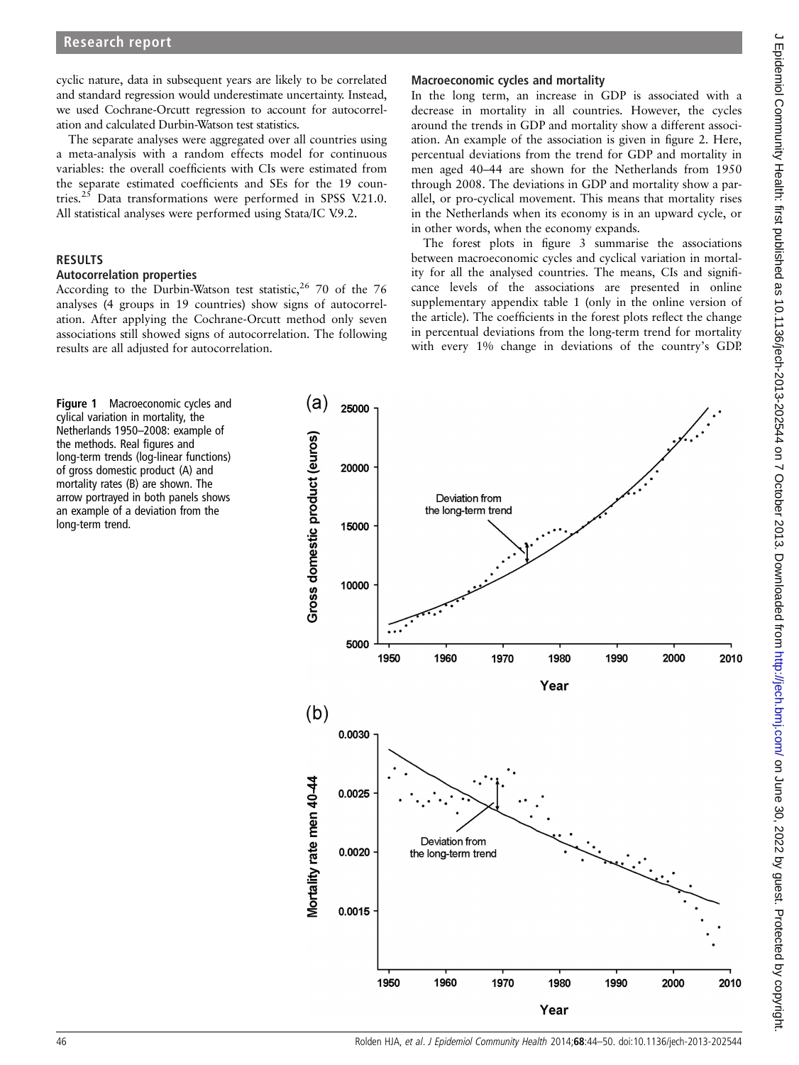cyclic nature, data in subsequent years are likely to be correlated and standard regression would underestimate uncertainty. Instead, we used Cochrane-Orcutt regression to account for autocorrelation and calculated Durbin-Watson test statistics.

The separate analyses were aggregated over all countries using a meta-analysis with a random effects model for continuous variables: the overall coefficients with CIs were estimated from the separate estimated coefficients and SEs for the 19 countries.<sup>25</sup> Data transformations were performed in SPSS V.21.0. All statistical analyses were performed using Stata/IC V.9.2.

## RESULTS

## Autocorrelation properties

According to the Durbin-Watson test statistic,  $26$  70 of the 76 analyses (4 groups in 19 countries) show signs of autocorrelation. After applying the Cochrane-Orcutt method only seven associations still showed signs of autocorrelation. The following results are all adjusted for autocorrelation.

## Macroeconomic cycles and mortality

In the long term, an increase in GDP is associated with a decrease in mortality in all countries. However, the cycles around the trends in GDP and mortality show a different association. An example of the association is given in figure 2. Here, percentual deviations from the trend for GDP and mortality in men aged 40–44 are shown for the Netherlands from 1950 through 2008. The deviations in GDP and mortality show a parallel, or pro-cyclical movement. This means that mortality rises in the Netherlands when its economy is in an upward cycle, or in other words, when the economy expands.

The forest plots in figure 3 summarise the associations between macroeconomic cycles and cyclical variation in mortality for all the analysed countries. The means, CIs and significance levels of the associations are presented in online supplementary appendix table 1 (only in the online version of the article). The coefficients in the forest plots reflect the change in percentual deviations from the long-term trend for mortality with every 1% change in deviations of the country's GDP.

Figure 1 Macroeconomic cycles and cylical variation in mortality, the Netherlands 1950–2008: example of the methods. Real figures and long-term trends (log-linear functions) of gross domestic product (A) and mortality rates (B) are shown. The arrow portrayed in both panels shows an example of a deviation from the long-term trend.

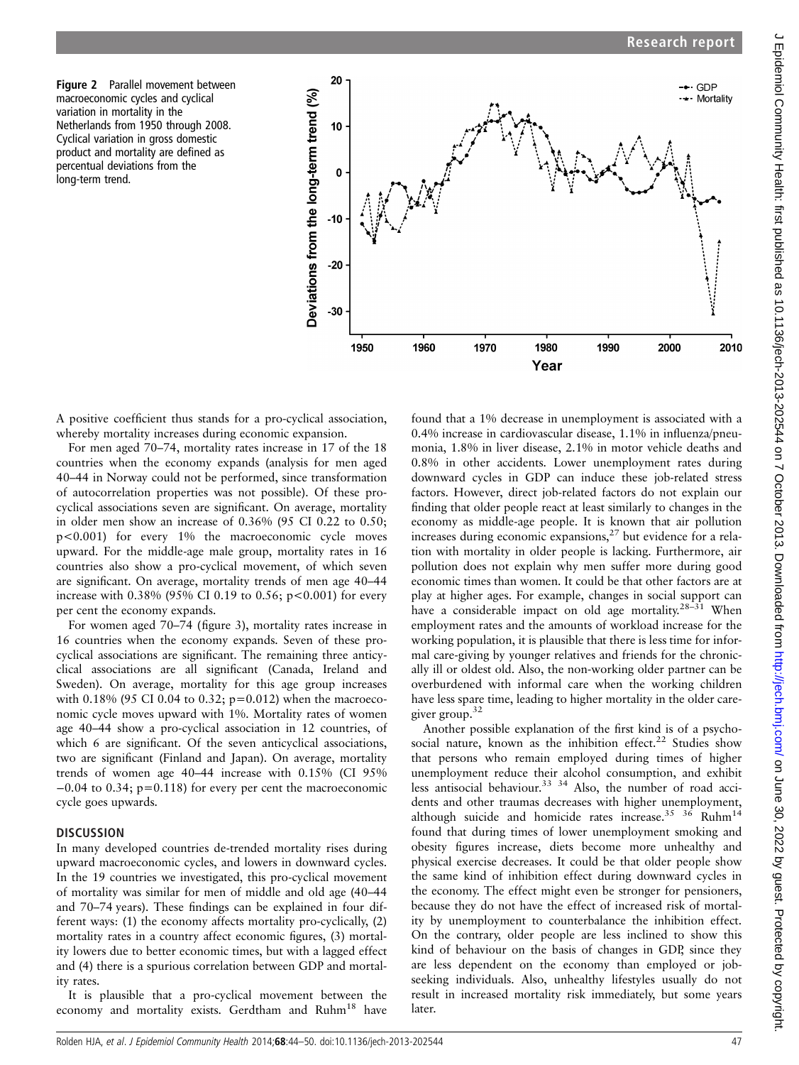



A positive coefficient thus stands for a pro-cyclical association, whereby mortality increases during economic expansion.

For men aged 70–74, mortality rates increase in 17 of the 18 countries when the economy expands (analysis for men aged 40–44 in Norway could not be performed, since transformation of autocorrelation properties was not possible). Of these procyclical associations seven are significant. On average, mortality in older men show an increase of 0.36% (95 CI 0.22 to 0.50; p<0.001) for every 1% the macroeconomic cycle moves upward. For the middle-age male group, mortality rates in 16 countries also show a pro-cyclical movement, of which seven are significant. On average, mortality trends of men age 40–44 increase with  $0.38\%$  (95% CI 0.19 to 0.56; p<0.001) for every per cent the economy expands.

For women aged 70–74 (figure 3), mortality rates increase in 16 countries when the economy expands. Seven of these procyclical associations are significant. The remaining three anticyclical associations are all significant (Canada, Ireland and Sweden). On average, mortality for this age group increases with 0.18% (95 CI 0.04 to 0.32; p=0.012) when the macroeconomic cycle moves upward with 1%. Mortality rates of women age 40–44 show a pro-cyclical association in 12 countries, of which 6 are significant. Of the seven anticyclical associations, two are significant (Finland and Japan). On average, mortality trends of women age 40–44 increase with 0.15% (CI 95% −0.04 to 0.34; p=0.118) for every per cent the macroeconomic cycle goes upwards.

### **DISCUSSION**

In many developed countries de-trended mortality rises during upward macroeconomic cycles, and lowers in downward cycles. In the 19 countries we investigated, this pro-cyclical movement of mortality was similar for men of middle and old age (40–44 and 70–74 years). These findings can be explained in four different ways: (1) the economy affects mortality pro-cyclically, (2) mortality rates in a country affect economic figures, (3) mortality lowers due to better economic times, but with a lagged effect and (4) there is a spurious correlation between GDP and mortality rates.

It is plausible that a pro-cyclical movement between the economy and mortality exists. Gerdtham and Ruhm<sup>18</sup> have

found that a 1% decrease in unemployment is associated with a 0.4% increase in cardiovascular disease, 1.1% in influenza/pneumonia, 1.8% in liver disease, 2.1% in motor vehicle deaths and 0.8% in other accidents. Lower unemployment rates during downward cycles in GDP can induce these job-related stress factors. However, direct job-related factors do not explain our finding that older people react at least similarly to changes in the economy as middle-age people. It is known that air pollution increases during economic expansions, $27$  but evidence for a relation with mortality in older people is lacking. Furthermore, air pollution does not explain why men suffer more during good economic times than women. It could be that other factors are at play at higher ages. For example, changes in social support can have a considerable impact on old age mortality.<sup>28–31</sup> When employment rates and the amounts of workload increase for the working population, it is plausible that there is less time for informal care-giving by younger relatives and friends for the chronically ill or oldest old. Also, the non-working older partner can be overburdened with informal care when the working children have less spare time, leading to higher mortality in the older caregiver group.32

Another possible explanation of the first kind is of a psychosocial nature, known as the inhibition effect.<sup>22</sup> Studies show that persons who remain employed during times of higher unemployment reduce their alcohol consumption, and exhibit less antisocial behaviour.<sup>33 34</sup> Also, the number of road accidents and other traumas decreases with higher unemployment, although suicide and homicide rates increase.<sup>35</sup>  $36$  Ruhm<sup>14</sup> found that during times of lower unemployment smoking and obesity figures increase, diets become more unhealthy and physical exercise decreases. It could be that older people show the same kind of inhibition effect during downward cycles in the economy. The effect might even be stronger for pensioners, because they do not have the effect of increased risk of mortality by unemployment to counterbalance the inhibition effect. On the contrary, older people are less inclined to show this kind of behaviour on the basis of changes in GDP, since they are less dependent on the economy than employed or jobseeking individuals. Also, unhealthy lifestyles usually do not result in increased mortality risk immediately, but some years later.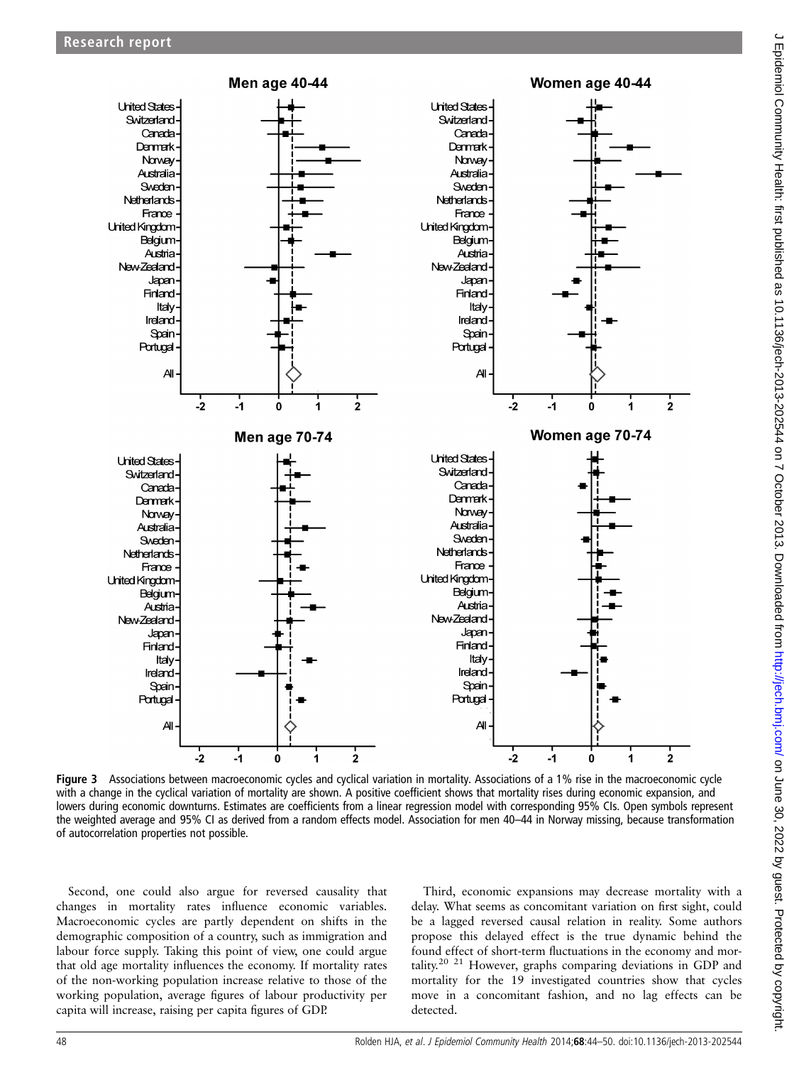

Figure 3 Associations between macroeconomic cycles and cyclical variation in mortality. Associations of a 1% rise in the macroeconomic cycle with a change in the cyclical variation of mortality are shown. A positive coefficient shows that mortality rises during economic expansion, and lowers during economic downturns. Estimates are coefficients from a linear regression model with corresponding 95% CIs. Open symbols represent the weighted average and 95% CI as derived from a random effects model. Association for men 40–44 in Norway missing, because transformation of autocorrelation properties not possible.

Second, one could also argue for reversed causality that changes in mortality rates influence economic variables. Macroeconomic cycles are partly dependent on shifts in the demographic composition of a country, such as immigration and labour force supply. Taking this point of view, one could argue that old age mortality influences the economy. If mortality rates of the non-working population increase relative to those of the working population, average figures of labour productivity per capita will increase, raising per capita figures of GDP.

Third, economic expansions may decrease mortality with a delay. What seems as concomitant variation on first sight, could be a lagged reversed causal relation in reality. Some authors propose this delayed effect is the true dynamic behind the found effect of short-term fluctuations in the economy and mortality.<sup>20 21</sup> However, graphs comparing deviations in GDP and mortality for the 19 investigated countries show that cycles move in a concomitant fashion, and no lag effects can be detected.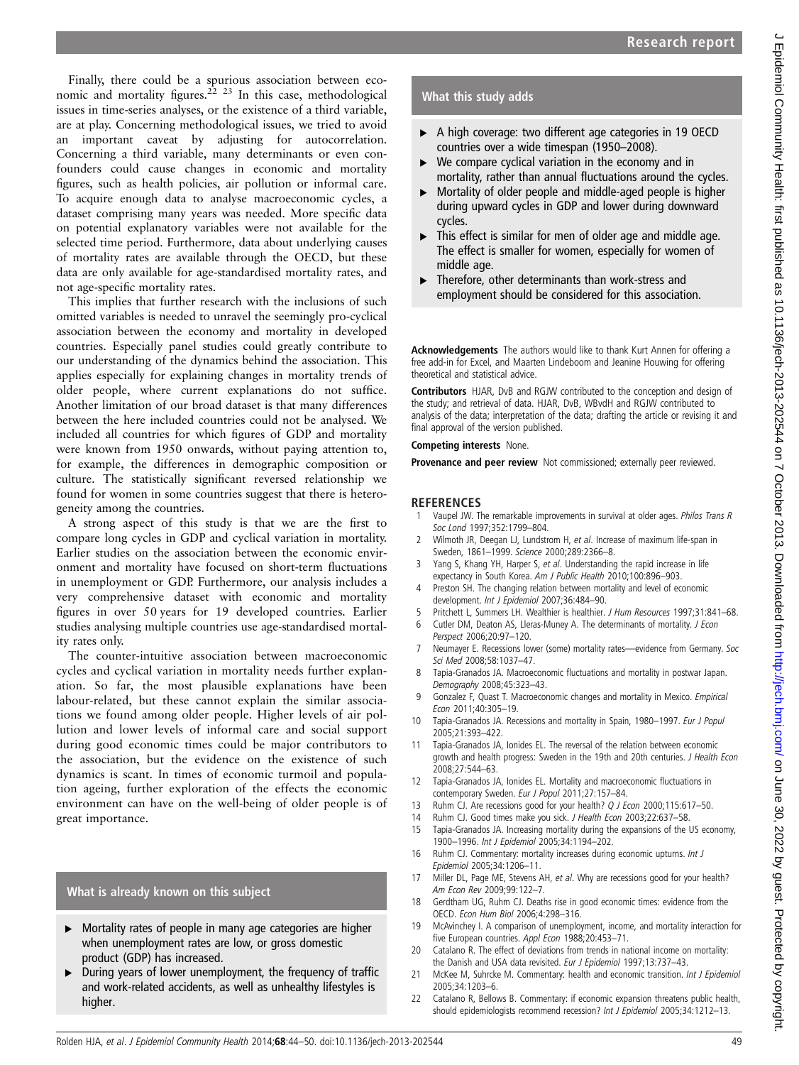Finally, there could be a spurious association between economic and mortality figures.<sup>22 23</sup> In this case, methodological issues in time-series analyses, or the existence of a third variable, are at play. Concerning methodological issues, we tried to avoid an important caveat by adjusting for autocorrelation. Concerning a third variable, many determinants or even confounders could cause changes in economic and mortality figures, such as health policies, air pollution or informal care. To acquire enough data to analyse macroeconomic cycles, a dataset comprising many years was needed. More specific data on potential explanatory variables were not available for the selected time period. Furthermore, data about underlying causes of mortality rates are available through the OECD, but these data are only available for age-standardised mortality rates, and not age-specific mortality rates.

This implies that further research with the inclusions of such omitted variables is needed to unravel the seemingly pro-cyclical association between the economy and mortality in developed countries. Especially panel studies could greatly contribute to our understanding of the dynamics behind the association. This applies especially for explaining changes in mortality trends of older people, where current explanations do not suffice. Another limitation of our broad dataset is that many differences between the here included countries could not be analysed. We included all countries for which figures of GDP and mortality were known from 1950 onwards, without paying attention to, for example, the differences in demographic composition or culture. The statistically significant reversed relationship we found for women in some countries suggest that there is heterogeneity among the countries.

A strong aspect of this study is that we are the first to compare long cycles in GDP and cyclical variation in mortality. Earlier studies on the association between the economic environment and mortality have focused on short-term fluctuations in unemployment or GDP. Furthermore, our analysis includes a very comprehensive dataset with economic and mortality figures in over 50 years for 19 developed countries. Earlier studies analysing multiple countries use age-standardised mortality rates only.

The counter-intuitive association between macroeconomic cycles and cyclical variation in mortality needs further explanation. So far, the most plausible explanations have been labour-related, but these cannot explain the similar associations we found among older people. Higher levels of air pollution and lower levels of informal care and social support during good economic times could be major contributors to the association, but the evidence on the existence of such dynamics is scant. In times of economic turmoil and population ageing, further exploration of the effects the economic environment can have on the well-being of older people is of great importance.

## What is already known on this subject

- ▸ Mortality rates of people in many age categories are higher when unemployment rates are low, or gross domestic product (GDP) has increased.
- ▸ During years of lower unemployment, the frequency of traffic and work-related accidents, as well as unhealthy lifestyles is higher.

## What this study adds

- ▶ A high coverage: two different age categories in 19 OECD countries over a wide timespan (1950–2008).
- $\triangleright$  We compare cyclical variation in the economy and in mortality, rather than annual fluctuations around the cycles.
- ▶ Mortality of older people and middle-aged people is higher during upward cycles in GDP and lower during downward cycles.
- ▸ This effect is similar for men of older age and middle age. The effect is smaller for women, especially for women of middle age.
- Therefore, other determinants than work-stress and employment should be considered for this association.

Acknowledgements The authors would like to thank Kurt Annen for offering a free add-in for Excel, and Maarten Lindeboom and Jeanine Houwing for offering theoretical and statistical advice.

Contributors HJAR, DvB and RGJW contributed to the conception and design of the study; and retrieval of data. HJAR, DvB, WBvdH and RGJW contributed to analysis of the data; interpretation of the data; drafting the article or revising it and final approval of the version published.

#### Competing interests None.

Provenance and peer review Not commissioned; externally peer reviewed.

#### **REFERENCES**

- 1 Vaupel JW. The remarkable improvements in survival at older ages. Philos Trans R Soc Lond 1997;352:1799–804.
- 2 Wilmoth JR, Deegan LJ, Lundstrom H, et al. Increase of maximum life-span in Sweden, 1861–1999. Science 2000;289:2366–8.
- 3 Yang S, Khang YH, Harper S, et al. Understanding the rapid increase in life expectancy in South Korea. Am J Public Health 2010;100:896–903.
- 4 Preston SH. The changing relation between mortality and level of economic development. Int J Epidemiol 2007;36:484–90.
- 5 Pritchett L, Summers LH. Wealthier is healthier. J Hum Resources 1997;31:841–68.
- 6 Cutler DM, Deaton AS, Lleras-Muney A. The determinants of mortality. J Econ Perspect 2006;20:97–120.
- 7 Neumayer E. Recessions lower (some) mortality rates—evidence from Germany. Soc Sci Med 2008;58:1037–47.
- 8 Tapia-Granados JA. Macroeconomic fluctuations and mortality in postwar Japan. Demography 2008;45:323–43.
- 9 Gonzalez F, Quast T. Macroeconomic changes and mortality in Mexico. Empirical Econ 2011;40:305–19.
- 10 Tapia-Granados JA. Recessions and mortality in Spain, 1980-1997. Eur J Popul 2005;21:393–422.
- 11 Tapia-Granados JA, Ionides EL. The reversal of the relation between economic growth and health progress: Sweden in the 19th and 20th centuries. J Health Econ 2008;27:544–63.
- 12 Tapia-Granados JA, Ionides EL. Mortality and macroeconomic fluctuations in contemporary Sweden. Eur J Popul 2011;27:157–84.
- 13 Ruhm CJ. Are recessions good for your health? Q J Econ 2000;115:617-50.
- 14 Ruhm CJ. Good times make you sick. J Health Econ 2003;22:637-58.
- 15 Tapia-Granados JA. Increasing mortality during the expansions of the US economy, 1900–1996. Int J Epidemiol 2005;34:1194–202.
- 16 Ruhm CJ. Commentary: mortality increases during economic upturns. Int J Epidemiol 2005;34:1206–11.
- 17 Miller DL, Page ME, Stevens AH, et al. Why are recessions good for your health? Am Econ Rev 2009;99:122–7.
- 18 Gerdtham UG, Ruhm CJ. Deaths rise in good economic times: evidence from the OECD. Econ Hum Biol 2006;4:298–316.
- 19 McAvinchey I. A comparison of unemployment, income, and mortality interaction for five European countries. Appl Econ 1988;20:453–71.
- 20 Catalano R. The effect of deviations from trends in national income on mortality: the Danish and USA data revisited. Eur J Epidemiol 1997;13:737-43.
- 21 McKee M, Suhrcke M. Commentary: health and economic transition. Int J Epidemiol 2005;34:1203–6.
- 22 Catalano R, Bellows B. Commentary: if economic expansion threatens public health, should epidemiologists recommend recession? Int J Epidemiol 2005;34:1212–13.